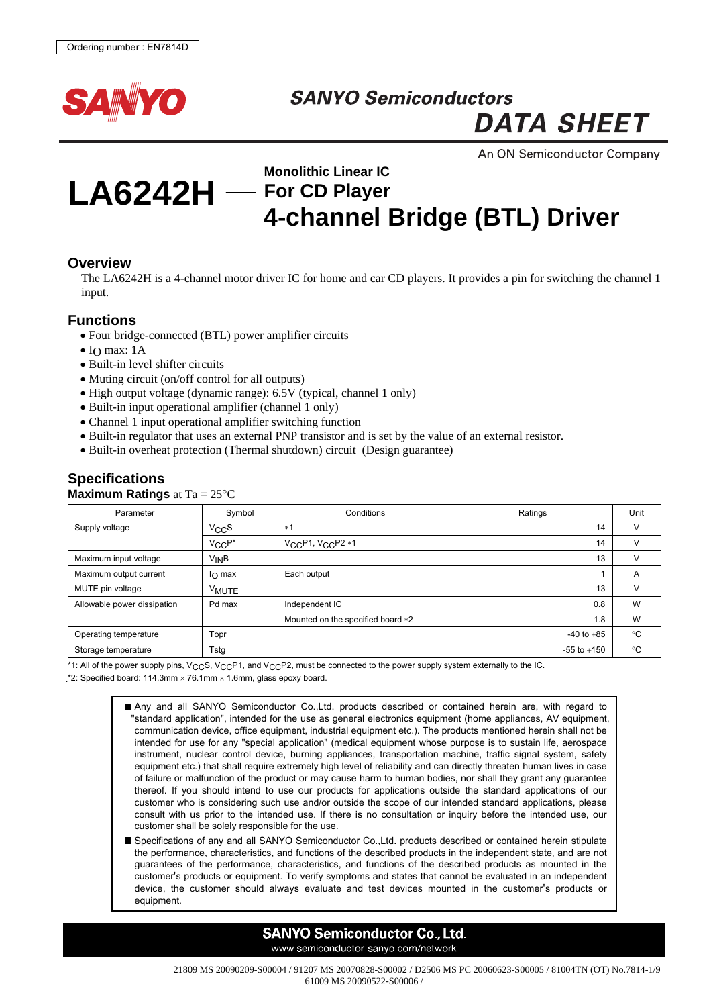

## **SANYO Semiconductors**

**DATA SHEET** 

An ON Semiconductor Company

# **LA6242H For CD Player**

# **Monolithic Linear IC 4-channel Bridge (BTL) Driver**

#### **Overview**

The LA6242H is a 4-channel motor driver IC for home and car CD players. It provides a pin for switching the channel 1 input.

#### **Functions**

- Four bridge-connected (BTL) power amplifier circuits
- $\bullet$  IO max: 1A
- Built-in level shifter circuits
- Muting circuit (on/off control for all outputs)
- High output voltage (dynamic range): 6.5V (typical, channel 1 only)
- Built-in input operational amplifier (channel 1 only)
- Channel 1 input operational amplifier switching function
- Built-in regulator that uses an external PNP transistor and is set by the value of an external resistor.
- Built-in overheat protection (Thermal shutdown) circuit (Design guarantee)

## **Specifications**

#### **Maximum Ratings** at Ta = 25°C

| Parameter                   | Symbol            | Conditions                        | Ratings         | Unit         |
|-----------------------------|-------------------|-----------------------------------|-----------------|--------------|
| Supply voltage              | $V_{CC}S$         | $*1$                              | 14              | V            |
|                             | $V_{CC}P^*$       | $V_{CC}P1, V_{CC}P2*1$            | 14              | v            |
| Maximum input voltage       | $V_{IN}B$         |                                   | 13              | V            |
| Maximum output current      | $I_{\Omega}$ max  | Each output                       |                 | A            |
| MUTE pin voltage            | V <sub>MUTE</sub> |                                   | 13              | V            |
| Allowable power dissipation | Pd max            | Independent IC                    | 0.8             | W            |
|                             |                   | Mounted on the specified board *2 | 1.8             | W            |
| Operating temperature       | Topr              |                                   | $-40$ to $+85$  | $^{\circ}$ C |
| Storage temperature         | Tstg              |                                   | $-55$ to $+150$ | °C           |

\*1: All of the power supply pins,  $V_{CC}S$ ,  $V_{CC}P1$ , and  $V_{CC}P2$ , must be connected to the power supply system externally to the IC.

\*2: Specified board: 114.3mm  $\times$  76.1mm  $\times$  1.6mm, glass epoxy board.

Any and all SANYO Semiconductor Co.,Ltd. products described or contained herein are, with regard to "standard application", intended for the use as general electronics equipment (home appliances, AV equipment, communication device, office equipment, industrial equipment etc.). The products mentioned herein shall not be intended for use for any "special application" (medical equipment whose purpose is to sustain life, aerospace instrument, nuclear control device, burning appliances, transportation machine, traffic signal system, safety equipment etc.) that shall require extremely high level of reliability and can directly threaten human lives in case of failure or malfunction of the product or may cause harm to human bodies, nor shall they grant any guarantee thereof. If you should intend to use our products for applications outside the standard applications of our customer who is considering such use and/or outside the scope of our intended standard applications, please consult with us prior to the intended use. If there is no consultation or inquiry before the intended use, our customer shall be solely responsible for the use.

Specifications of any and all SANYO Semiconductor Co.,Ltd. products described or contained herein stipulate the performance, characteristics, and functions of the described products in the independent state, and are not guarantees of the performance, characteristics, and functions of the described products as mounted in the customer's products or equipment. To verify symptoms and states that cannot be evaluated in an independent device, the customer should always evaluate and test devices mounted in the customer's products or equipment.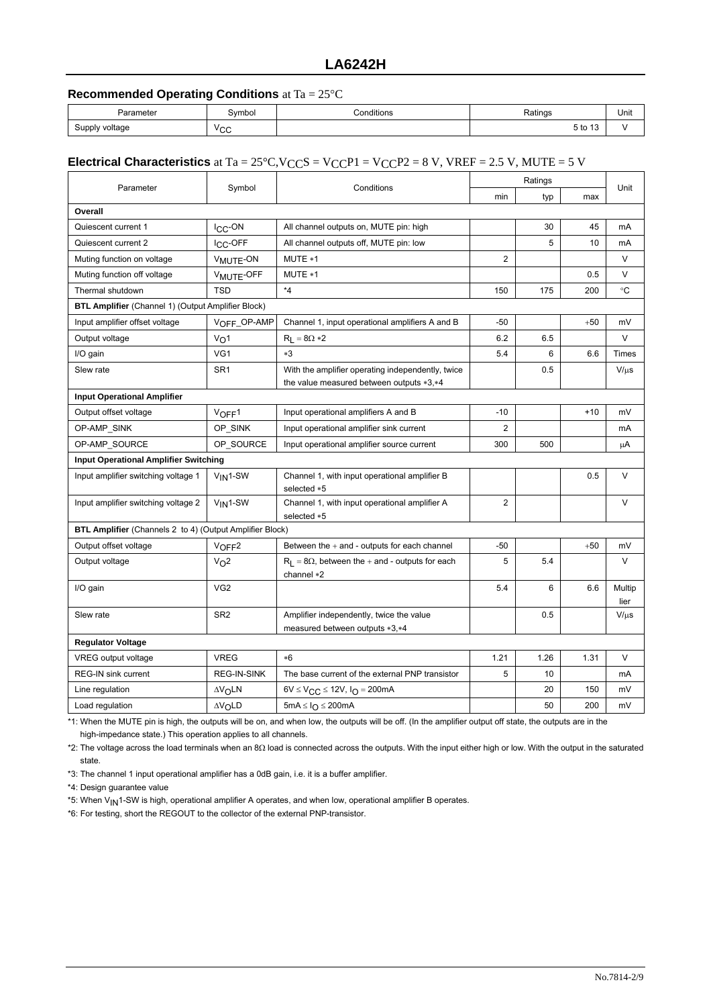## **LA6242H**

#### **Recommended Operating Conditions** at Ta = 25°C

| Parameter      | Symbol             | Conditions<br>. | Ratings                       | Unit |
|----------------|--------------------|-----------------|-------------------------------|------|
| Supply voltage | $V \cap \cap$<br>◡ |                 | $\overline{a}$<br>5 to<br>ں ا |      |

#### **Electrical Characteristics** at Ta =  $25^{\circ}$ C,V<sub>CC</sub>S = V<sub>CC</sub>P1 = V<sub>CC</sub>P2 = 8 V, VREF = 2.5 V, MUTE = 5 V

|                                                                 |                            |                                                                            | Ratings        |      |       | Unit           |
|-----------------------------------------------------------------|----------------------------|----------------------------------------------------------------------------|----------------|------|-------|----------------|
| Parameter                                                       | Symbol                     | Conditions                                                                 |                | typ  | max   |                |
| Overall                                                         |                            |                                                                            |                |      |       |                |
| Quiescent current 1                                             | I <sub>CC</sub> -ON        | All channel outputs on, MUTE pin: high                                     |                | 30   | 45    | mA             |
| Quiescent current 2                                             | I <sub>CC</sub> -OFF       | All channel outputs off, MUTE pin: low                                     |                | 5    | 10    | mA             |
| Muting function on voltage                                      | V <sub>MUTE</sub> -ON      | MUTE *1                                                                    | $\overline{2}$ |      |       | V              |
| Muting function off voltage                                     | V <sub>MUTE-OFF</sub>      | MUTE *1                                                                    |                |      | 0.5   | V              |
| Thermal shutdown                                                | <b>TSD</b>                 | $^\star 4$                                                                 | 150            | 175  | 200   | $^{\circ}C$    |
| <b>BTL Amplifier</b> (Channel 1) (Output Amplifier Block)       |                            |                                                                            |                |      |       |                |
| Input amplifier offset voltage                                  | VOFF_OP-AMP                | Channel 1, input operational amplifiers A and B                            | $-50$          |      | $+50$ | mV             |
| Output voltage                                                  | V <sub>O</sub> 1           | $R_1 = 8\Omega * 2$                                                        | 6.2            | 6.5  |       | V              |
| I/O gain                                                        | VG <sub>1</sub>            | $*3$                                                                       | 5.4            | 6    | 6.6   | Times          |
| Slew rate                                                       | SR <sub>1</sub>            | With the amplifier operating independently, twice                          |                | 0.5  |       | $V/\mu s$      |
|                                                                 |                            | the value measured between outputs *3,*4                                   |                |      |       |                |
| <b>Input Operational Amplifier</b>                              |                            |                                                                            |                |      |       |                |
| Output offset voltage                                           | $V$ OFF <sup>1</sup>       | Input operational amplifiers A and B                                       | $-10$          |      | $+10$ | mV             |
| OP-AMP_SINK                                                     | OP SINK                    | Input operational amplifier sink current                                   | 2              |      |       | mA             |
| OP-AMP_SOURCE                                                   | OP_SOURCE                  | Input operational amplifier source current                                 | 300            | 500  |       | μA             |
| <b>Input Operational Amplifier Switching</b>                    |                            |                                                                            |                |      |       |                |
| Input amplifier switching voltage 1                             | $V_{IN}1-SW$               | Channel 1, with input operational amplifier B<br>selected *5               |                |      | 0.5   | V              |
| Input amplifier switching voltage 2                             | $V_{IN}1-SW$               | Channel 1, with input operational amplifier A<br>selected *5               | $\overline{2}$ |      |       | $\vee$         |
| <b>BTL Amplifier</b> (Channels 2 to 4) (Output Amplifier Block) |                            |                                                                            |                |      |       |                |
| Output offset voltage                                           | $V$ OFF <sup>2</sup>       | Between the $+$ and $-$ outputs for each channel                           | $-50$          |      | $+50$ | mV             |
| Output voltage                                                  | V <sub>O</sub> 2           | $R_L = 8\Omega$ , between the + and - outputs for each<br>channel $*2$     | 5              | 5.4  |       | V              |
| I/O gain                                                        | VG <sub>2</sub>            |                                                                            | 5.4            | 6    | 6.6   | Multip<br>lier |
| Slew rate                                                       | SR <sub>2</sub>            | Amplifier independently, twice the value<br>measured between outputs *3,*4 |                | 0.5  |       | $V/\mu s$      |
| <b>Regulator Voltage</b>                                        |                            |                                                                            |                |      |       |                |
| VREG output voltage                                             | <b>VREG</b>                | $*6$                                                                       | 1.21           | 1.26 | 1.31  | V              |
| REG-IN sink current                                             | REG-IN-SINK                | The base current of the external PNP transistor                            | 5              | 10   |       | mA             |
| Line regulation                                                 | $\Delta V$ OLN             | $6V \leq V_{CC} \leq 12V$ , $I_{O} = 200mA$                                |                | 20   | 150   | mV             |
| Load regulation                                                 | $\Delta V$ <sub>O</sub> LD | 5mA $\leq$ $I_{\Omega}$ $\leq$ 200mA                                       |                | 50   | 200   | mV             |

\*1: When the MUTE pin is high, the outputs will be on, and when low, the outputs will be off. (In the amplifier output off state, the outputs are in the high-impedance state.) This operation applies to all channels.

\*2: The voltage across the load terminals when an 8Ω load is connected across the outputs. With the input either high or low. With the output in the saturated state.

\*3: The channel 1 input operational amplifier has a 0dB gain, i.e. it is a buffer amplifier.

\*4: Design guarantee value

\*5: When V<sub>IN</sub>1-SW is high, operational amplifier A operates, and when low, operational amplifier B operates.

\*6: For testing, short the REGOUT to the collector of the external PNP-transistor.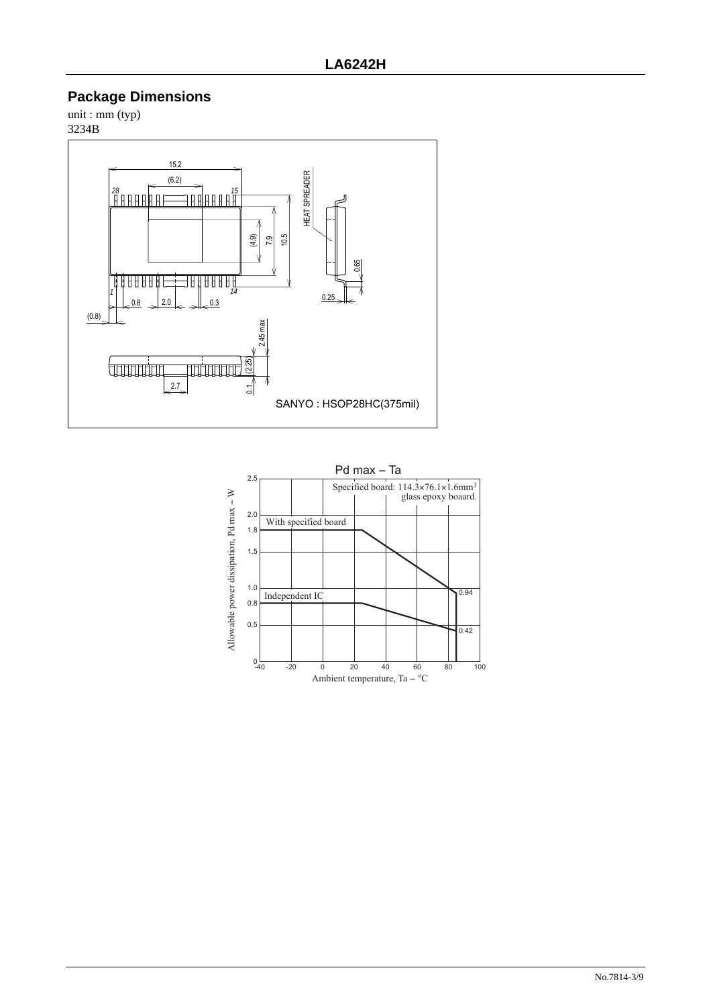## **Package Dimensions**

unit : mm (typ) 3234B



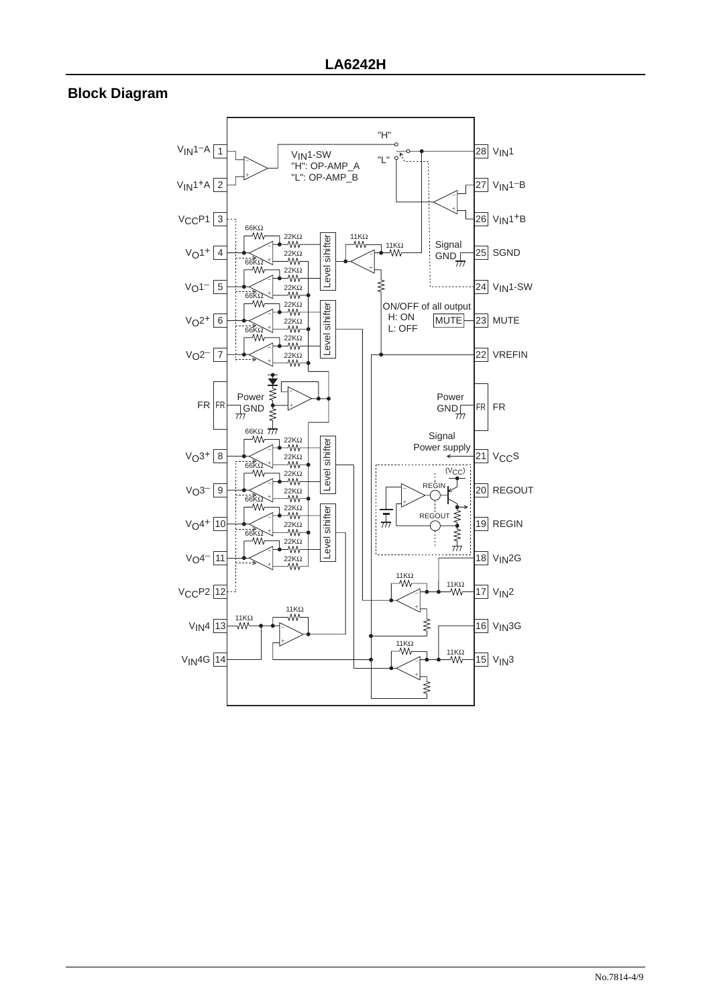## **Block Diagram**

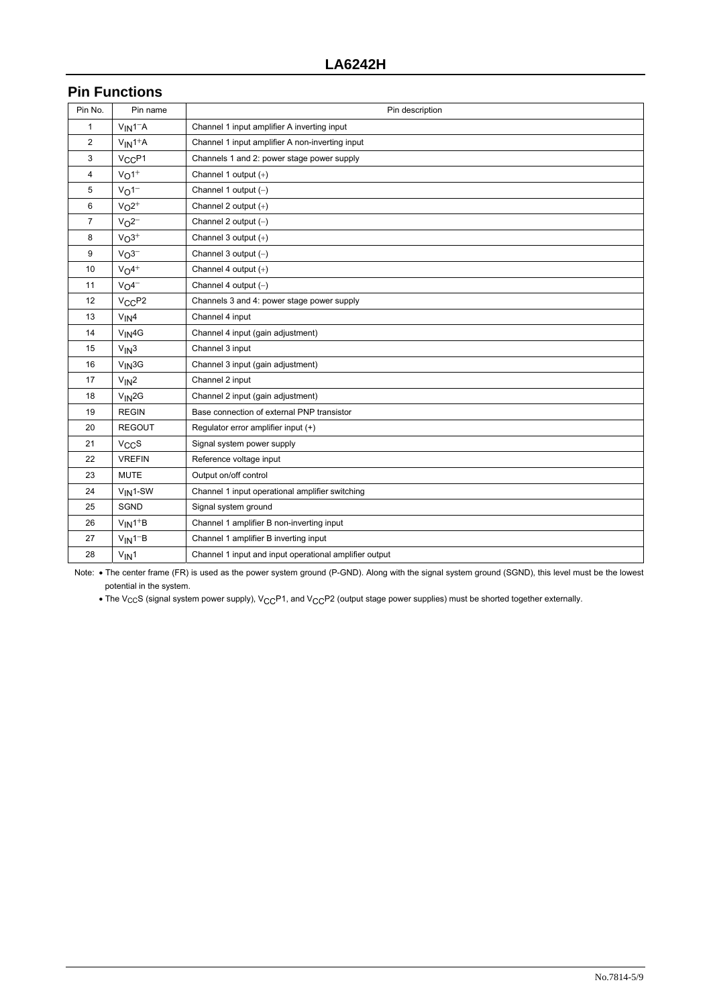## **Pin Functions**

| Pin No.      | Pin name                       | Pin description                                        |
|--------------|--------------------------------|--------------------------------------------------------|
| $\mathbf{1}$ | $V_{IN}1 - A$                  | Channel 1 input amplifier A inverting input            |
| 2            | $V_{IN}1+A$                    | Channel 1 input amplifier A non-inverting input        |
| 3            | V <sub>CC</sub> P <sub>1</sub> | Channels 1 and 2: power stage power supply             |
| 4            | $V_O1^+$                       | Channel 1 output $(+)$                                 |
| 5            | $V_O1^-$                       | Channel 1 output $(-)$                                 |
| 6            | $V_0$ <sup>2+</sup>            | Channel 2 output $(+)$                                 |
| 7            | $VO2-$                         | Channel 2 output $(-)$                                 |
| 8            | $VO3+$                         | Channel 3 output $(+)$                                 |
| 9            | $VO3-$                         | Channel 3 output $(-)$                                 |
| 10           | $V_0$ 4+                       | Channel 4 output (+)                                   |
| 11           | $VO4-$                         | Channel 4 output $(-)$                                 |
| 12           | V <sub>CC</sub> P <sub>2</sub> | Channels 3 and 4: power stage power supply             |
| 13           | $V_{IN}4$                      | Channel 4 input                                        |
| 14           | $V_{IN}$ 4G                    | Channel 4 input (gain adjustment)                      |
| 15           | $V_{IN}3$                      | Channel 3 input                                        |
| 16           | $V_{IN}$ 3G                    | Channel 3 input (gain adjustment)                      |
| 17           | $V_{IN}2$                      | Channel 2 input                                        |
| 18           | $V_{IN}$ 2G                    | Channel 2 input (gain adjustment)                      |
| 19           | <b>REGIN</b>                   | Base connection of external PNP transistor             |
| 20           | <b>REGOUT</b>                  | Regulator error amplifier input (+)                    |
| 21           | $V_{CC}S$                      | Signal system power supply                             |
| 22           | <b>VREFIN</b>                  | Reference voltage input                                |
| 23           | <b>MUTE</b>                    | Output on/off control                                  |
| 24           | $V_{IN}$ 1-SW                  | Channel 1 input operational amplifier switching        |
| 25           | SGND                           | Signal system ground                                   |
| 26           | $V_{IN}1+B$                    | Channel 1 amplifier B non-inverting input              |
| 27           | $V_{IN}1-B$                    | Channel 1 amplifier B inverting input                  |
| 28           | $V_{IN}1$                      | Channel 1 input and input operational amplifier output |

Note: • The center frame (FR) is used as the power system ground (P-GND). Along with the signal system ground (SGND), this level must be the lowest potential in the system.

• The V<sub>CC</sub>S (signal system power supply), V<sub>CC</sub>P1, and V<sub>CC</sub>P2 (output stage power supplies) must be shorted together externally.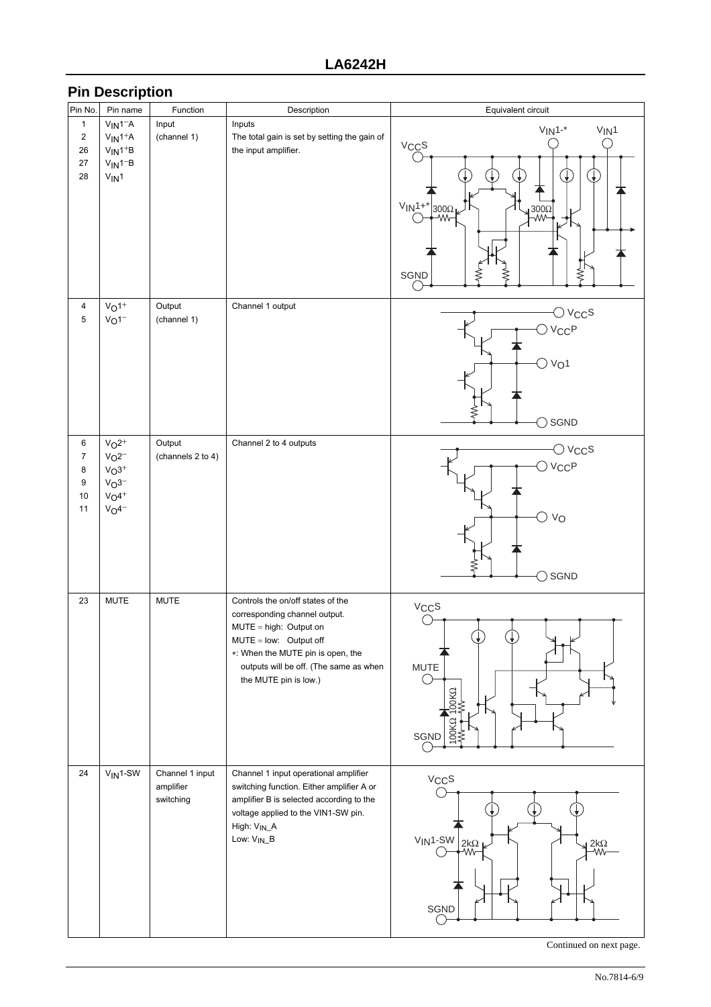## **Pin Description**

| Pin No.          | Pin name      | Function          | Description                                  | Equivalent circuit                                 |
|------------------|---------------|-------------------|----------------------------------------------|----------------------------------------------------|
| $\mathbf{1}$     | $V_{IN}1 - A$ | Input             | Inputs                                       |                                                    |
| $\overline{2}$   | $V_{IN}1+A$   | (channel 1)       | The total gain is set by setting the gain of | $V_{IN}1 -$ *<br>$V_{IN}1$                         |
| 26               | $V_{IN}1+B$   |                   | the input amplifier.                         | V <sub>CC</sub> S                                  |
| 27               | $V_{IN}1 - B$ |                   |                                              |                                                    |
| 28               | $V_{IN}1$     |                   |                                              | $\downarrow$<br>$\downarrow$                       |
|                  |               |                   |                                              |                                                    |
|                  |               |                   |                                              | $VIN1+$ *                                          |
|                  |               |                   |                                              | 300Ω<br><del>  X</del> W<br>$\uparrow^{300\Omega}$ |
|                  |               |                   |                                              |                                                    |
|                  |               |                   |                                              |                                                    |
|                  |               |                   |                                              |                                                    |
|                  |               |                   |                                              | ₹<br>SGND                                          |
|                  |               |                   |                                              |                                                    |
| 4                | $V_O1^+$      | Output            | Channel 1 output                             |                                                    |
| 5                | $V_O1^-$      | (channel 1)       |                                              | $\bigcirc$ $\vee_{{\mathsf{CC}}}$ s                |
|                  |               |                   |                                              | $\bigcirc$ $V_{CC}P$                               |
|                  |               |                   |                                              |                                                    |
|                  |               |                   |                                              | $\bigcirc$ $V_{O}1$                                |
|                  |               |                   |                                              |                                                    |
|                  |               |                   |                                              |                                                    |
|                  |               |                   |                                              |                                                    |
|                  |               |                   |                                              | SGND<br>ົ                                          |
| 6                | $V_0^2$       | Output            | Channel 2 to 4 outputs                       |                                                    |
| $\boldsymbol{7}$ | $V_02^-$      | (channels 2 to 4) |                                              | $\bigcirc$ $\vee_{\mathsf{CC}}$ s                  |
| 8                | $V_{O}3^{+}$  |                   |                                              | $\bigcirc$ $V_{CC}P$                               |
| 9                | $VO3-$        |                   |                                              |                                                    |
| 10               | $V_04^+$      |                   |                                              |                                                    |
| 11               | $V_{O}4^{-}$  |                   |                                              | ○ vo                                               |
|                  |               |                   |                                              |                                                    |
|                  |               |                   |                                              |                                                    |
|                  |               |                   |                                              |                                                    |
|                  |               |                   |                                              | SGND<br>$\rightarrow$                              |
| 23               | <b>MUTE</b>   | <b>MUTE</b>       | Controls the on/off states of the            |                                                    |
|                  |               |                   | corresponding channel output.                | V <sub>CC</sub> S                                  |
|                  |               |                   | $MUTE = high$ : Output on                    |                                                    |
|                  |               |                   | MUTE = low: Output off                       | ₩.                                                 |
|                  |               |                   | *: When the MUTE pin is open, the            |                                                    |
|                  |               |                   | outputs will be off. (The same as when       | <b>MUTE</b>                                        |
|                  |               |                   | the MUTE pin is low.)                        |                                                    |
|                  |               |                   |                                              | DOK <sup>Q</sup>                                   |
|                  |               |                   |                                              |                                                    |
|                  |               |                   |                                              | 100KΩ<br>SGND                                      |
|                  |               |                   |                                              |                                                    |
| 24               | $V_{IN}$ 1-SW | Channel 1 input   | Channel 1 input operational amplifier        |                                                    |
|                  |               | amplifier         | switching function. Either amplifier A or    | $V_{CC}S$                                          |
|                  |               | switching         | amplifier B is selected according to the     |                                                    |
|                  |               |                   | voltage applied to the VIN1-SW pin.          |                                                    |
|                  |               |                   | High: VIN_A                                  |                                                    |
|                  |               |                   | Low: V <sub>IN_</sub> B                      | $VIN1-SW$ 2kΩ<br>$2k\Omega$<br>-WV                 |
|                  |               |                   |                                              |                                                    |
|                  |               |                   |                                              |                                                    |
|                  |               |                   |                                              |                                                    |
|                  |               |                   |                                              | SGND                                               |
|                  |               |                   |                                              |                                                    |
|                  |               |                   |                                              |                                                    |

Continued on next page.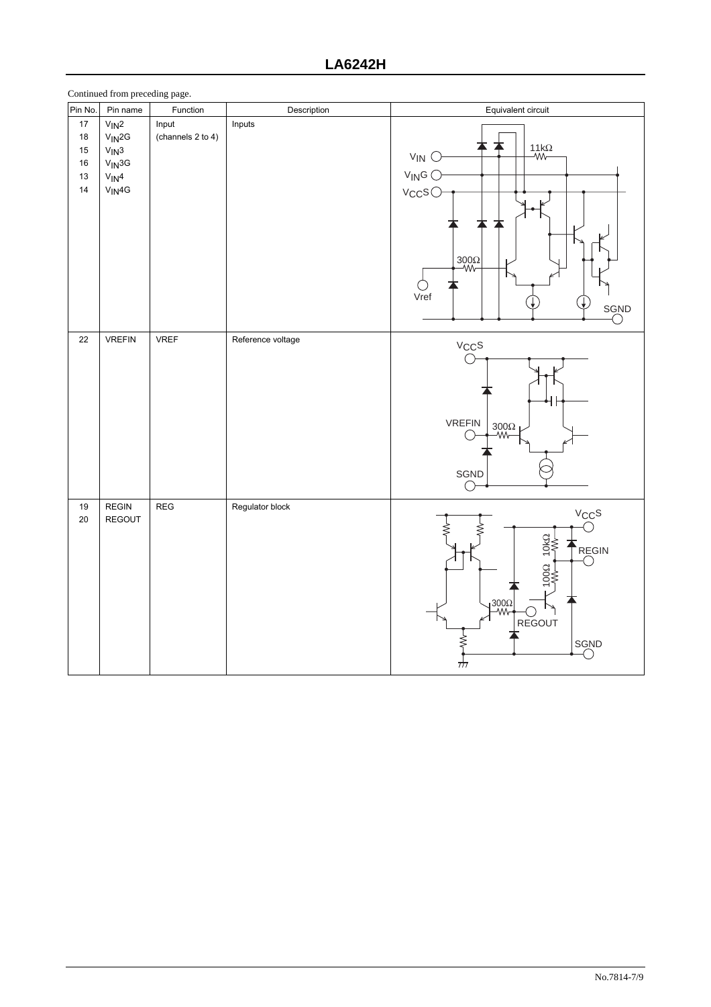|                                          | Continued from preceding page.                                                  |                            |                   |                                                                                                                                       |
|------------------------------------------|---------------------------------------------------------------------------------|----------------------------|-------------------|---------------------------------------------------------------------------------------------------------------------------------------|
| Pin No.                                  | Pin name                                                                        | Function                   | Description       | Equivalent circuit                                                                                                                    |
| $17\,$<br>18<br>15<br>$16\,$<br>13<br>14 | $V_{IN}2$<br>$V_{IN}$ 2G<br>$V_{IN}3$<br>$V_{IN}$ 3G<br>$V_{IN}4$<br>$V_{IN}4G$ | Input<br>(channels 2 to 4) | Inputs            | $\frac{11k\Omega}{W}$<br>$V_{IN}$ $\bigcirc$<br>$V_{\mathsf{IN}}G$<br>$V_{CC}S$<br>$\frac{300\Omega}{W}$<br>Vref<br>SGND              |
| 22                                       | <b>VREFIN</b>                                                                   | VREF                       | Reference voltage | $V_{CC}S$<br>┫┠<br><b>VREFIN</b><br>$\frac{300\Omega}{W}$<br>SGND<br>(                                                                |
| 19<br>$20\,$                             | <b>REGIN</b><br>REGOUT                                                          | REG                        | Regulator block   | $V_{CC}S$<br>C<br>NO<br>REGIN<br>$(\ )$<br>000<br>$\overline{P}^{\frac{300\Omega}{W}}$<br>REGOUT<br>≸<br>SGND<br>$\frac{1}{\sqrt{1}}$ |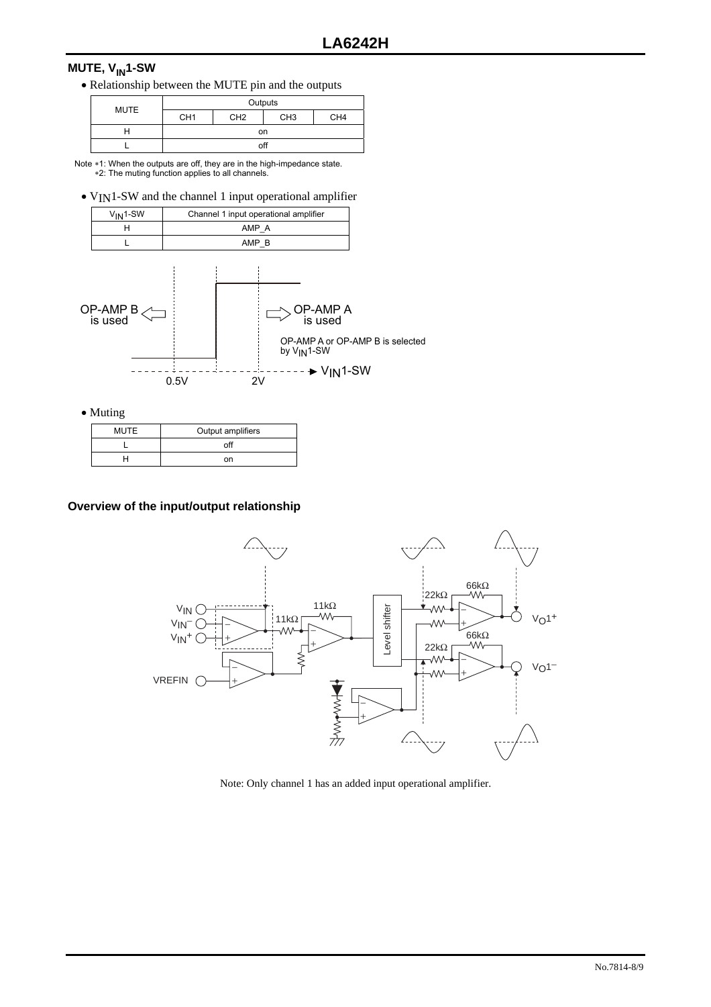## **MUTE, V<sub>IN</sub>1-SW**

• Relationship between the MUTE pin and the outputs

| <b>MUTE</b> | Outputs         |                 |                 |                 |
|-------------|-----------------|-----------------|-----------------|-----------------|
|             | CH <sub>1</sub> | CH <sub>2</sub> | CH <sub>3</sub> | CH <sub>4</sub> |
|             |                 |                 | on              |                 |
|             |                 |                 | off             |                 |

Note ∗1: When the outputs are off, they are in the high-impedance state.<br>∗2: The muting function applies to all channels.

• V<sub>IN</sub>1-SW and the channel 1 input operational amplifier

| $V_{IN}1-SW$ | Channel 1 input operational amplifier |
|--------------|---------------------------------------|
|              | AMP A                                 |
|              | AMP                                   |



• Muting

| MUTE | Output amplifiers |
|------|-------------------|
|      | ∩fl               |
|      | nn                |

#### **Overview of the input/output relationship**



Note: Only channel 1 has an added input operational amplifier.